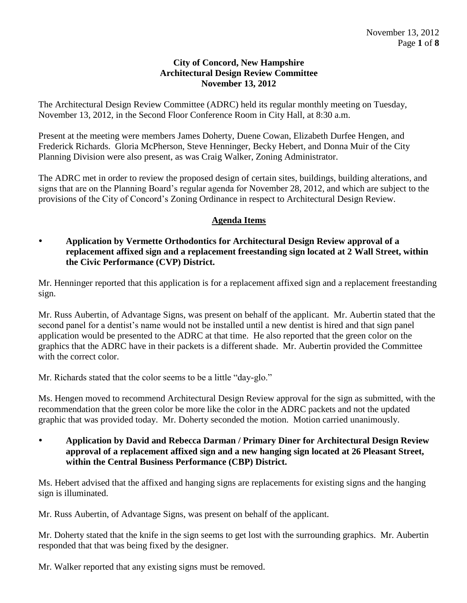#### **City of Concord, New Hampshire Architectural Design Review Committee November 13, 2012**

The Architectural Design Review Committee (ADRC) held its regular monthly meeting on Tuesday, November 13, 2012, in the Second Floor Conference Room in City Hall, at 8:30 a.m.

Present at the meeting were members James Doherty, Duene Cowan, Elizabeth Durfee Hengen, and Frederick Richards. Gloria McPherson, Steve Henninger, Becky Hebert, and Donna Muir of the City Planning Division were also present, as was Craig Walker, Zoning Administrator.

The ADRC met in order to review the proposed design of certain sites, buildings, building alterations, and signs that are on the Planning Board's regular agenda for November 28, 2012, and which are subject to the provisions of the City of Concord's Zoning Ordinance in respect to Architectural Design Review.

# **Agenda Items**

### **Application by Vermette Orthodontics for Architectural Design Review approval of a replacement affixed sign and a replacement freestanding sign located at 2 Wall Street, within the Civic Performance (CVP) District.**

Mr. Henninger reported that this application is for a replacement affixed sign and a replacement freestanding sign.

Mr. Russ Aubertin, of Advantage Signs, was present on behalf of the applicant. Mr. Aubertin stated that the second panel for a dentist's name would not be installed until a new dentist is hired and that sign panel application would be presented to the ADRC at that time. He also reported that the green color on the graphics that the ADRC have in their packets is a different shade. Mr. Aubertin provided the Committee with the correct color.

Mr. Richards stated that the color seems to be a little "day-glo."

Ms. Hengen moved to recommend Architectural Design Review approval for the sign as submitted, with the recommendation that the green color be more like the color in the ADRC packets and not the updated graphic that was provided today. Mr. Doherty seconded the motion. Motion carried unanimously.

 **Application by David and Rebecca Darman / Primary Diner for Architectural Design Review approval of a replacement affixed sign and a new hanging sign located at 26 Pleasant Street, within the Central Business Performance (CBP) District.** 

Ms. Hebert advised that the affixed and hanging signs are replacements for existing signs and the hanging sign is illuminated.

Mr. Russ Aubertin, of Advantage Signs, was present on behalf of the applicant.

Mr. Doherty stated that the knife in the sign seems to get lost with the surrounding graphics. Mr. Aubertin responded that that was being fixed by the designer.

Mr. Walker reported that any existing signs must be removed.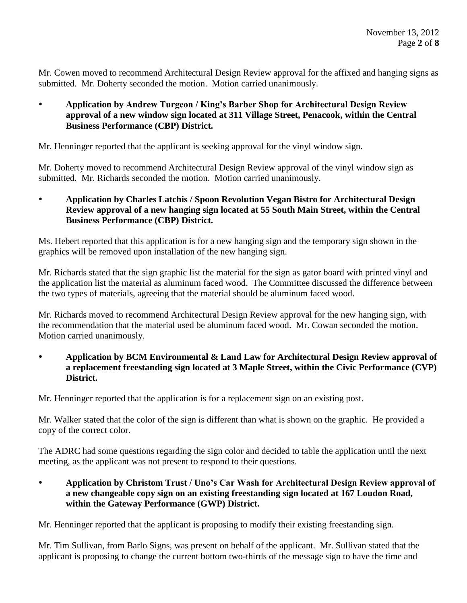Mr. Cowen moved to recommend Architectural Design Review approval for the affixed and hanging signs as submitted. Mr. Doherty seconded the motion. Motion carried unanimously.

 **Application by Andrew Turgeon / King's Barber Shop for Architectural Design Review approval of a new window sign located at 311 Village Street, Penacook, within the Central Business Performance (CBP) District.** 

Mr. Henninger reported that the applicant is seeking approval for the vinyl window sign.

Mr. Doherty moved to recommend Architectural Design Review approval of the vinyl window sign as submitted. Mr. Richards seconded the motion. Motion carried unanimously.

 **Application by Charles Latchis / Spoon Revolution Vegan Bistro for Architectural Design Review approval of a new hanging sign located at 55 South Main Street, within the Central Business Performance (CBP) District.** 

Ms. Hebert reported that this application is for a new hanging sign and the temporary sign shown in the graphics will be removed upon installation of the new hanging sign.

Mr. Richards stated that the sign graphic list the material for the sign as gator board with printed vinyl and the application list the material as aluminum faced wood. The Committee discussed the difference between the two types of materials, agreeing that the material should be aluminum faced wood.

Mr. Richards moved to recommend Architectural Design Review approval for the new hanging sign, with the recommendation that the material used be aluminum faced wood. Mr. Cowan seconded the motion. Motion carried unanimously.

 **Application by BCM Environmental & Land Law for Architectural Design Review approval of a replacement freestanding sign located at 3 Maple Street, within the Civic Performance (CVP) District.** 

Mr. Henninger reported that the application is for a replacement sign on an existing post.

Mr. Walker stated that the color of the sign is different than what is shown on the graphic. He provided a copy of the correct color.

The ADRC had some questions regarding the sign color and decided to table the application until the next meeting, as the applicant was not present to respond to their questions.

 **Application by Christom Trust / Uno's Car Wash for Architectural Design Review approval of a new changeable copy sign on an existing freestanding sign located at 167 Loudon Road, within the Gateway Performance (GWP) District.** 

Mr. Henninger reported that the applicant is proposing to modify their existing freestanding sign.

Mr. Tim Sullivan, from Barlo Signs, was present on behalf of the applicant. Mr. Sullivan stated that the applicant is proposing to change the current bottom two-thirds of the message sign to have the time and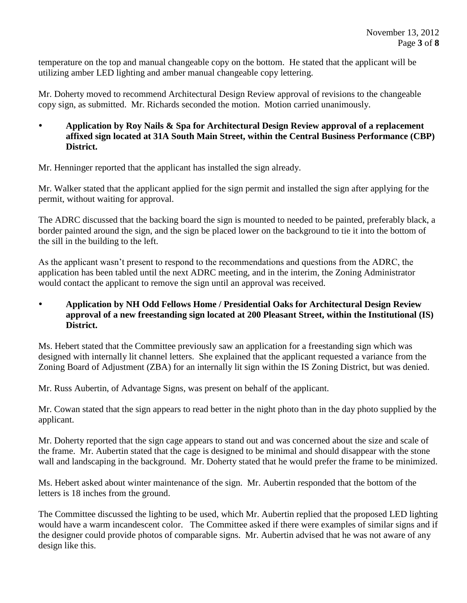temperature on the top and manual changeable copy on the bottom. He stated that the applicant will be utilizing amber LED lighting and amber manual changeable copy lettering.

Mr. Doherty moved to recommend Architectural Design Review approval of revisions to the changeable copy sign, as submitted. Mr. Richards seconded the motion. Motion carried unanimously.

 **Application by Roy Nails & Spa for Architectural Design Review approval of a replacement affixed sign located at 31A South Main Street, within the Central Business Performance (CBP) District.** 

Mr. Henninger reported that the applicant has installed the sign already.

Mr. Walker stated that the applicant applied for the sign permit and installed the sign after applying for the permit, without waiting for approval.

The ADRC discussed that the backing board the sign is mounted to needed to be painted, preferably black, a border painted around the sign, and the sign be placed lower on the background to tie it into the bottom of the sill in the building to the left.

As the applicant wasn't present to respond to the recommendations and questions from the ADRC, the application has been tabled until the next ADRC meeting, and in the interim, the Zoning Administrator would contact the applicant to remove the sign until an approval was received.

# **Application by NH Odd Fellows Home / Presidential Oaks for Architectural Design Review approval of a new freestanding sign located at 200 Pleasant Street, within the Institutional (IS) District.**

Ms. Hebert stated that the Committee previously saw an application for a freestanding sign which was designed with internally lit channel letters. She explained that the applicant requested a variance from the Zoning Board of Adjustment (ZBA) for an internally lit sign within the IS Zoning District, but was denied.

Mr. Russ Aubertin, of Advantage Signs, was present on behalf of the applicant.

Mr. Cowan stated that the sign appears to read better in the night photo than in the day photo supplied by the applicant.

Mr. Doherty reported that the sign cage appears to stand out and was concerned about the size and scale of the frame. Mr. Aubertin stated that the cage is designed to be minimal and should disappear with the stone wall and landscaping in the background. Mr. Doherty stated that he would prefer the frame to be minimized.

Ms. Hebert asked about winter maintenance of the sign. Mr. Aubertin responded that the bottom of the letters is 18 inches from the ground.

The Committee discussed the lighting to be used, which Mr. Aubertin replied that the proposed LED lighting would have a warm incandescent color. The Committee asked if there were examples of similar signs and if the designer could provide photos of comparable signs. Mr. Aubertin advised that he was not aware of any design like this.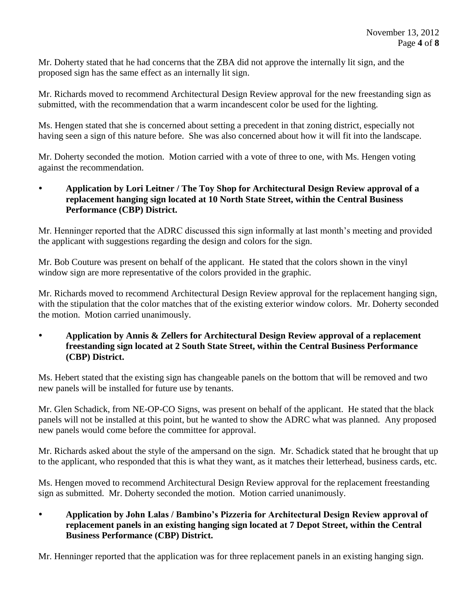Mr. Doherty stated that he had concerns that the ZBA did not approve the internally lit sign, and the proposed sign has the same effect as an internally lit sign.

Mr. Richards moved to recommend Architectural Design Review approval for the new freestanding sign as submitted, with the recommendation that a warm incandescent color be used for the lighting.

Ms. Hengen stated that she is concerned about setting a precedent in that zoning district, especially not having seen a sign of this nature before. She was also concerned about how it will fit into the landscape.

Mr. Doherty seconded the motion. Motion carried with a vote of three to one, with Ms. Hengen voting against the recommendation.

 **Application by Lori Leitner / The Toy Shop for Architectural Design Review approval of a replacement hanging sign located at 10 North State Street, within the Central Business Performance (CBP) District.** 

Mr. Henninger reported that the ADRC discussed this sign informally at last month's meeting and provided the applicant with suggestions regarding the design and colors for the sign.

Mr. Bob Couture was present on behalf of the applicant. He stated that the colors shown in the vinyl window sign are more representative of the colors provided in the graphic.

Mr. Richards moved to recommend Architectural Design Review approval for the replacement hanging sign, with the stipulation that the color matches that of the existing exterior window colors. Mr. Doherty seconded the motion. Motion carried unanimously.

 **Application by Annis & Zellers for Architectural Design Review approval of a replacement freestanding sign located at 2 South State Street, within the Central Business Performance (CBP) District.**

Ms. Hebert stated that the existing sign has changeable panels on the bottom that will be removed and two new panels will be installed for future use by tenants.

Mr. Glen Schadick, from NE-OP-CO Signs, was present on behalf of the applicant. He stated that the black panels will not be installed at this point, but he wanted to show the ADRC what was planned. Any proposed new panels would come before the committee for approval.

Mr. Richards asked about the style of the ampersand on the sign. Mr. Schadick stated that he brought that up to the applicant, who responded that this is what they want, as it matches their letterhead, business cards, etc.

Ms. Hengen moved to recommend Architectural Design Review approval for the replacement freestanding sign as submitted. Mr. Doherty seconded the motion. Motion carried unanimously.

 **Application by John Lalas / Bambino's Pizzeria for Architectural Design Review approval of replacement panels in an existing hanging sign located at 7 Depot Street, within the Central Business Performance (CBP) District.**

Mr. Henninger reported that the application was for three replacement panels in an existing hanging sign.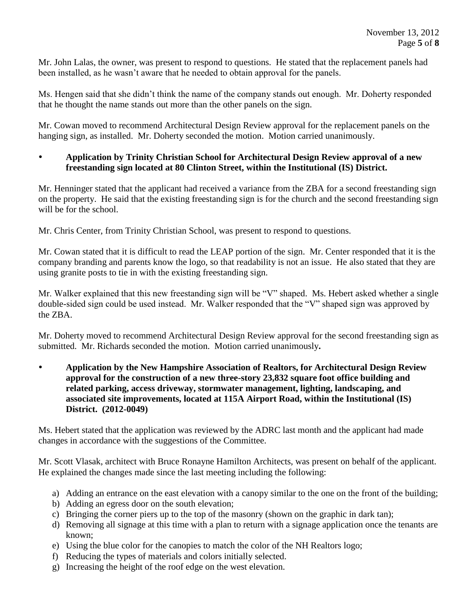Mr. John Lalas, the owner, was present to respond to questions. He stated that the replacement panels had been installed, as he wasn't aware that he needed to obtain approval for the panels.

Ms. Hengen said that she didn't think the name of the company stands out enough. Mr. Doherty responded that he thought the name stands out more than the other panels on the sign.

Mr. Cowan moved to recommend Architectural Design Review approval for the replacement panels on the hanging sign, as installed. Mr. Doherty seconded the motion. Motion carried unanimously.

### **Application by Trinity Christian School for Architectural Design Review approval of a new freestanding sign located at 80 Clinton Street, within the Institutional (IS) District.**

Mr. Henninger stated that the applicant had received a variance from the ZBA for a second freestanding sign on the property. He said that the existing freestanding sign is for the church and the second freestanding sign will be for the school.

Mr. Chris Center, from Trinity Christian School, was present to respond to questions.

Mr. Cowan stated that it is difficult to read the LEAP portion of the sign. Mr. Center responded that it is the company branding and parents know the logo, so that readability is not an issue. He also stated that they are using granite posts to tie in with the existing freestanding sign.

Mr. Walker explained that this new freestanding sign will be "V" shaped. Ms. Hebert asked whether a single double-sided sign could be used instead. Mr. Walker responded that the "V" shaped sign was approved by the ZBA.

Mr. Doherty moved to recommend Architectural Design Review approval for the second freestanding sign as submitted. Mr. Richards seconded the motion. Motion carried unanimously**.** 

 **Application by the New Hampshire Association of Realtors, for Architectural Design Review approval for the construction of a new three-story 23,832 square foot office building and related parking, access driveway, stormwater management, lighting, landscaping, and associated site improvements, located at 115A Airport Road, within the Institutional (IS) District. (2012-0049)**

Ms. Hebert stated that the application was reviewed by the ADRC last month and the applicant had made changes in accordance with the suggestions of the Committee.

Mr. Scott Vlasak, architect with Bruce Ronayne Hamilton Architects, was present on behalf of the applicant. He explained the changes made since the last meeting including the following:

- a) Adding an entrance on the east elevation with a canopy similar to the one on the front of the building;
- b) Adding an egress door on the south elevation;
- c) Bringing the corner piers up to the top of the masonry (shown on the graphic in dark tan);
- d) Removing all signage at this time with a plan to return with a signage application once the tenants are known;
- e) Using the blue color for the canopies to match the color of the NH Realtors logo;
- f) Reducing the types of materials and colors initially selected.
- g) Increasing the height of the roof edge on the west elevation.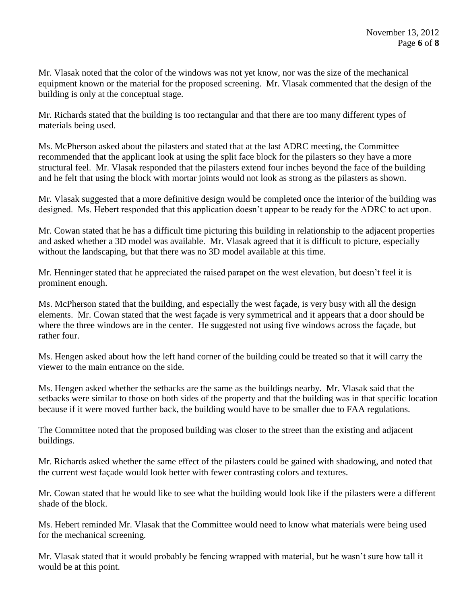Mr. Vlasak noted that the color of the windows was not yet know, nor was the size of the mechanical equipment known or the material for the proposed screening. Mr. Vlasak commented that the design of the building is only at the conceptual stage.

Mr. Richards stated that the building is too rectangular and that there are too many different types of materials being used.

Ms. McPherson asked about the pilasters and stated that at the last ADRC meeting, the Committee recommended that the applicant look at using the split face block for the pilasters so they have a more structural feel. Mr. Vlasak responded that the pilasters extend four inches beyond the face of the building and he felt that using the block with mortar joints would not look as strong as the pilasters as shown.

Mr. Vlasak suggested that a more definitive design would be completed once the interior of the building was designed. Ms. Hebert responded that this application doesn't appear to be ready for the ADRC to act upon.

Mr. Cowan stated that he has a difficult time picturing this building in relationship to the adjacent properties and asked whether a 3D model was available. Mr. Vlasak agreed that it is difficult to picture, especially without the landscaping, but that there was no 3D model available at this time.

Mr. Henninger stated that he appreciated the raised parapet on the west elevation, but doesn't feel it is prominent enough.

Ms. McPherson stated that the building, and especially the west façade, is very busy with all the design elements. Mr. Cowan stated that the west façade is very symmetrical and it appears that a door should be where the three windows are in the center. He suggested not using five windows across the façade, but rather four.

Ms. Hengen asked about how the left hand corner of the building could be treated so that it will carry the viewer to the main entrance on the side.

Ms. Hengen asked whether the setbacks are the same as the buildings nearby. Mr. Vlasak said that the setbacks were similar to those on both sides of the property and that the building was in that specific location because if it were moved further back, the building would have to be smaller due to FAA regulations.

The Committee noted that the proposed building was closer to the street than the existing and adjacent buildings.

Mr. Richards asked whether the same effect of the pilasters could be gained with shadowing, and noted that the current west façade would look better with fewer contrasting colors and textures.

Mr. Cowan stated that he would like to see what the building would look like if the pilasters were a different shade of the block.

Ms. Hebert reminded Mr. Vlasak that the Committee would need to know what materials were being used for the mechanical screening.

Mr. Vlasak stated that it would probably be fencing wrapped with material, but he wasn't sure how tall it would be at this point.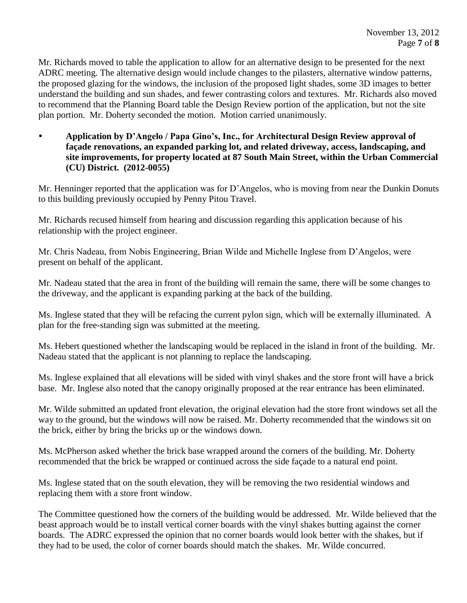Mr. Richards moved to table the application to allow for an alternative design to be presented for the next ADRC meeting. The alternative design would include changes to the pilasters, alternative window patterns, the proposed glazing for the windows, the inclusion of the proposed light shades, some 3D images to better understand the building and sun shades, and fewer contrasting colors and textures. Mr. Richards also moved to recommend that the Planning Board table the Design Review portion of the application, but not the site plan portion. Mr. Doherty seconded the motion. Motion carried unanimously.

 **Application by D'Angelo / Papa Gino's, Inc., for Architectural Design Review approval of façade renovations, an expanded parking lot, and related driveway, access, landscaping, and site improvements, for property located at 87 South Main Street, within the Urban Commercial (CU) District. (2012-0055)**

Mr. Henninger reported that the application was for D'Angelos, who is moving from near the Dunkin Donuts to this building previously occupied by Penny Pitou Travel.

Mr. Richards recused himself from hearing and discussion regarding this application because of his relationship with the project engineer.

Mr. Chris Nadeau, from Nobis Engineering, Brian Wilde and Michelle Inglese from D'Angelos, were present on behalf of the applicant.

Mr. Nadeau stated that the area in front of the building will remain the same, there will be some changes to the driveway, and the applicant is expanding parking at the back of the building.

Ms. Inglese stated that they will be refacing the current pylon sign, which will be externally illuminated. A plan for the free-standing sign was submitted at the meeting.

Ms. Hebert questioned whether the landscaping would be replaced in the island in front of the building. Mr. Nadeau stated that the applicant is not planning to replace the landscaping.

Ms. Inglese explained that all elevations will be sided with vinyl shakes and the store front will have a brick base. Mr. Inglese also noted that the canopy originally proposed at the rear entrance has been eliminated.

Mr. Wilde submitted an updated front elevation, the original elevation had the store front windows set all the way to the ground, but the windows will now be raised. Mr. Doherty recommended that the windows sit on the brick, either by bring the bricks up or the windows down.

Ms. McPherson asked whether the brick base wrapped around the corners of the building. Mr. Doherty recommended that the brick be wrapped or continued across the side façade to a natural end point.

Ms. Inglese stated that on the south elevation, they will be removing the two residential windows and replacing them with a store front window.

The Committee questioned how the corners of the building would be addressed. Mr. Wilde believed that the beast approach would be to install vertical corner boards with the vinyl shakes butting against the corner boards. The ADRC expressed the opinion that no corner boards would look better with the shakes, but if they had to be used, the color of corner boards should match the shakes. Mr. Wilde concurred.